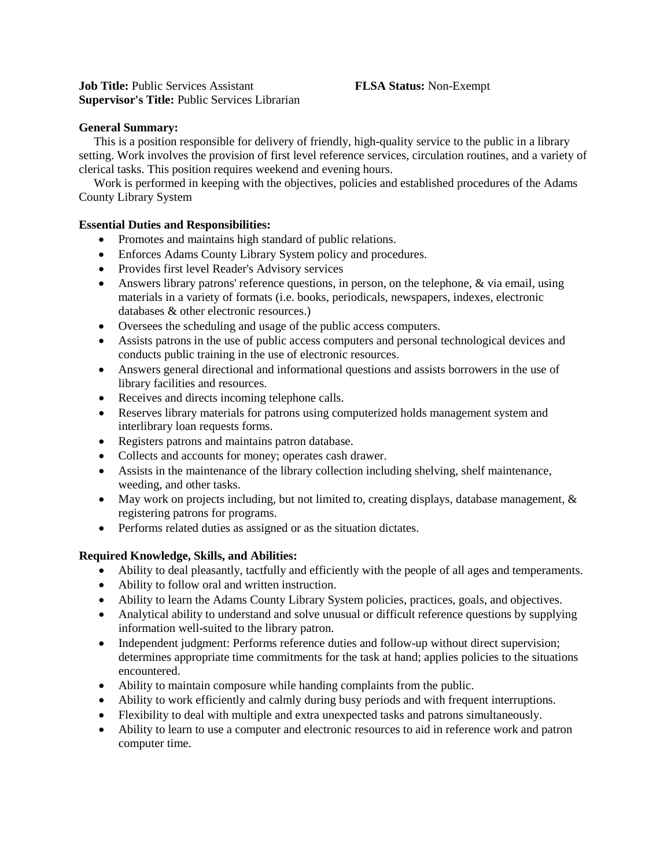## **Job Title:** Public Services Assistant **FLSA Status:** Non-Exempt **Supervisor's Title:** Public Services Librarian

## **General Summary:**

 This is a position responsible for delivery of friendly, high-quality service to the public in a library setting. Work involves the provision of first level reference services, circulation routines, and a variety of clerical tasks. This position requires weekend and evening hours.

 Work is performed in keeping with the objectives, policies and established procedures of the Adams County Library System

# **Essential Duties and Responsibilities:**

- Promotes and maintains high standard of public relations.
- Enforces Adams County Library System policy and procedures.
- Provides first level Reader's Advisory services
- Answers library patrons' reference questions, in person, on the telephone, & via email, using materials in a variety of formats (i.e. books, periodicals, newspapers, indexes, electronic databases & other electronic resources.)
- Oversees the scheduling and usage of the public access computers.
- Assists patrons in the use of public access computers and personal technological devices and conducts public training in the use of electronic resources.
- Answers general directional and informational questions and assists borrowers in the use of library facilities and resources.
- Receives and directs incoming telephone calls.
- Reserves library materials for patrons using computerized holds management system and interlibrary loan requests forms.
- Registers patrons and maintains patron database.
- Collects and accounts for money; operates cash drawer.
- Assists in the maintenance of the library collection including shelving, shelf maintenance, weeding, and other tasks.
- May work on projects including, but not limited to, creating displays, database management, & registering patrons for programs.
- Performs related duties as assigned or as the situation dictates.

# **Required Knowledge, Skills, and Abilities:**

- Ability to deal pleasantly, tactfully and efficiently with the people of all ages and temperaments.
- Ability to follow oral and written instruction.
- Ability to learn the Adams County Library System policies, practices, goals, and objectives.
- Analytical ability to understand and solve unusual or difficult reference questions by supplying information well-suited to the library patron.
- Independent judgment: Performs reference duties and follow-up without direct supervision; determines appropriate time commitments for the task at hand; applies policies to the situations encountered.
- Ability to maintain composure while handing complaints from the public.
- Ability to work efficiently and calmly during busy periods and with frequent interruptions.
- Flexibility to deal with multiple and extra unexpected tasks and patrons simultaneously.
- Ability to learn to use a computer and electronic resources to aid in reference work and patron computer time.